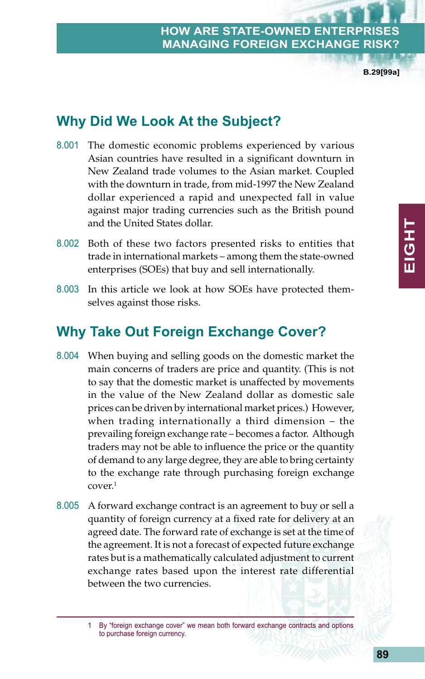**B.29[99a]**

# **Why Did We Look At the Subject?**

- 8.001 The domestic economic problems experienced by various Asian countries have resulted in a significant downturn in New Zealand trade volumes to the Asian market. Coupled with the downturn in trade, from mid-1997 the New Zealand dollar experienced a rapid and unexpected fall in value against major trading currencies such as the British pound and the United States dollar.
- 8.002 Both of these two factors presented risks to entities that trade in international markets – among them the state-owned enterprises (SOEs) that buy and sell internationally.
- 8.003 In this article we look at how SOEs have protected themselves against those risks.

# **Why Take Out Foreign Exchange Cover?**

- 8.004 When buying and selling goods on the domestic market the main concerns of traders are price and quantity. (This is not to say that the domestic market is unaffected by movements in the value of the New Zealand dollar as domestic sale prices can be driven by international market prices.) However, when trading internationally a third dimension – the prevailing foreign exchange rate – becomes a factor. Although traders may not be able to influence the price or the quantity of demand to any large degree, they are able to bring certainty to the exchange rate through purchasing foreign exchange cover.1
- 8.005 A forward exchange contract is an agreement to buy or sell a quantity of foreign currency at a fixed rate for delivery at an agreed date. The forward rate of exchange is set at the time of the agreement. It is not a forecast of expected future exchange rates but is a mathematically calculated adjustment to current exchange rates based upon the interest rate differential between the two currencies.

<sup>1</sup> By "foreign exchange cover" we mean both forward exchange contracts and options to purchase foreign currency.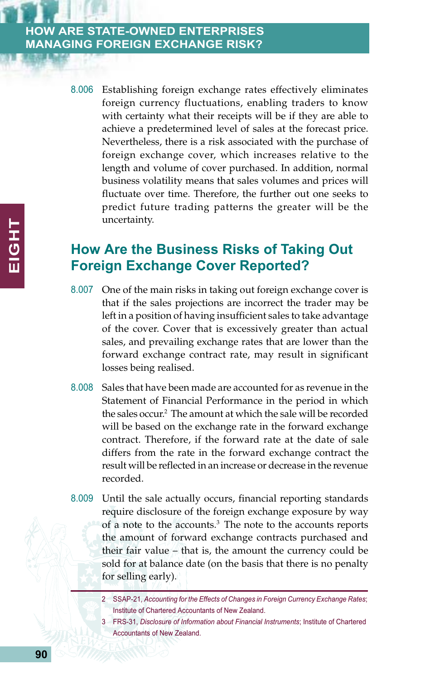8.006 Establishing foreign exchange rates effectively eliminates foreign currency fluctuations, enabling traders to know with certainty what their receipts will be if they are able to achieve a predetermined level of sales at the forecast price. Nevertheless, there is a risk associated with the purchase of foreign exchange cover, which increases relative to the length and volume of cover purchased. In addition, normal business volatility means that sales volumes and prices will fluctuate over time. Therefore, the further out one seeks to predict future trading patterns the greater will be the uncertainty.

# **How Are the Business Risks of Taking Out Foreign Exchange Cover Reported?**

- 8.007 One of the main risks in taking out foreign exchange cover is that if the sales projections are incorrect the trader may be left in a position of having insufficient sales to take advantage of the cover. Cover that is excessively greater than actual sales, and prevailing exchange rates that are lower than the forward exchange contract rate, may result in significant losses being realised.
- 8.008 Sales that have been made are accounted for as revenue in the Statement of Financial Performance in the period in which the sales occur.2 The amount at which the sale will be recorded will be based on the exchange rate in the forward exchange contract. Therefore, if the forward rate at the date of sale differs from the rate in the forward exchange contract the result will be reflected in an increase or decrease in the revenue recorded.
- 8.009 Until the sale actually occurs, financial reporting standards require disclosure of the foreign exchange exposure by way of a note to the accounts.3 The note to the accounts reports the amount of forward exchange contracts purchased and their fair value – that is, the amount the currency could be sold for at balance date (on the basis that there is no penalty for selling early).

3 FRS-31, *Disclosure of Information about Financial Instruments*; Institute of Chartered Accountants of New Zealand.

<sup>2</sup> SSAP-21, *Accounting for the Effects of Changes in Foreign Currency Exchange Rates*; Institute of Chartered Accountants of New Zealand.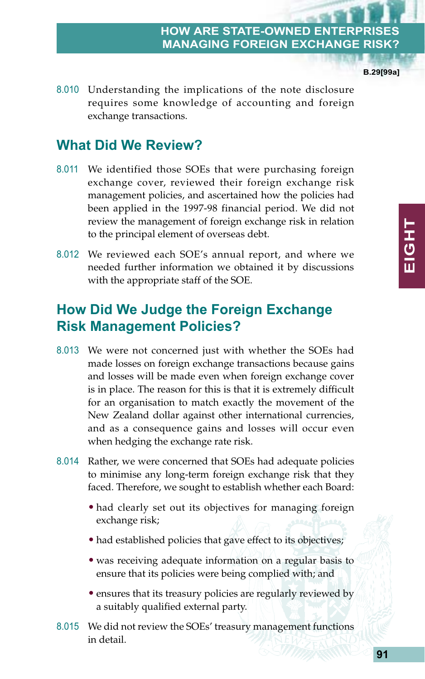**B.29[99a]**

**EIGHT**

EIGHT

8.010 Understanding the implications of the note disclosure requires some knowledge of accounting and foreign exchange transactions.

# **What Did We Review?**

- 8.011 We identified those SOEs that were purchasing foreign exchange cover, reviewed their foreign exchange risk management policies, and ascertained how the policies had been applied in the 1997-98 financial period. We did not review the management of foreign exchange risk in relation to the principal element of overseas debt.
- 8.012 We reviewed each SOE's annual report, and where we needed further information we obtained it by discussions with the appropriate staff of the SOE.

# **How Did We Judge the Foreign Exchange Risk Management Policies?**

- 8.013 We were not concerned just with whether the SOEs had made losses on foreign exchange transactions because gains and losses will be made even when foreign exchange cover is in place. The reason for this is that it is extremely difficult for an organisation to match exactly the movement of the New Zealand dollar against other international currencies, and as a consequence gains and losses will occur even when hedging the exchange rate risk.
- 8.014 Rather, we were concerned that SOEs had adequate policies to minimise any long-term foreign exchange risk that they faced. Therefore, we sought to establish whether each Board:
	- had clearly set out its objectives for managing foreign exchange risk;
	- had established policies that gave effect to its objectives;
	- was receiving adequate information on a regular basis to ensure that its policies were being complied with; and
	- ensures that its treasury policies are regularly reviewed by a suitably qualified external party.
- 8.015 We did not review the SOEs' treasury management functions in detail.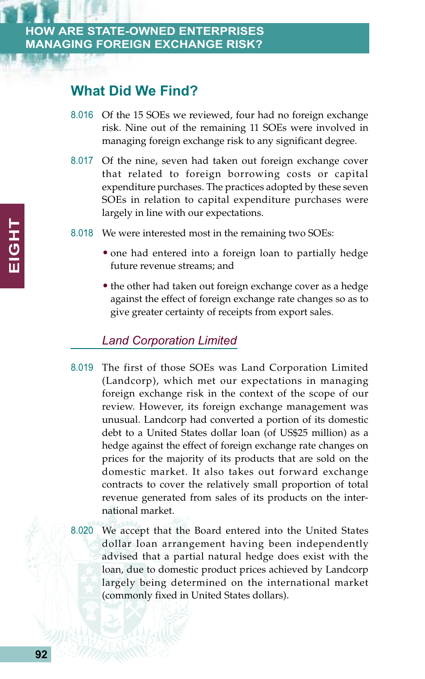# **What Did We Find?**

- 8.016 Of the 15 SOEs we reviewed, four had no foreign exchange risk. Nine out of the remaining 11 SOEs were involved in managing foreign exchange risk to any significant degree.
- 8.017 Of the nine, seven had taken out foreign exchange cover that related to foreign borrowing costs or capital expenditure purchases. The practices adopted by these seven SOEs in relation to capital expenditure purchases were largely in line with our expectations.
- 8.018 We were interested most in the remaining two SOEs:
	- one had entered into a foreign loan to partially hedge future revenue streams; and
	- the other had taken out foreign exchange cover as a hedge against the effect of foreign exchange rate changes so as to give greater certainty of receipts from export sales.

### *Land Corporation Limited*

- 8.019 The first of those SOEs was Land Corporation Limited (Landcorp), which met our expectations in managing foreign exchange risk in the context of the scope of our review. However, its foreign exchange management was unusual. Landcorp had converted a portion of its domestic debt to a United States dollar loan (of US\$25 million) as a hedge against the effect of foreign exchange rate changes on prices for the majority of its products that are sold on the domestic market. It also takes out forward exchange contracts to cover the relatively small proportion of total revenue generated from sales of its products on the international market.
- 8.020 We accept that the Board entered into the United States dollar loan arrangement having been independently advised that a partial natural hedge does exist with the loan, due to domestic product prices achieved by Landcorp largely being determined on the international market (commonly fixed in United States dollars).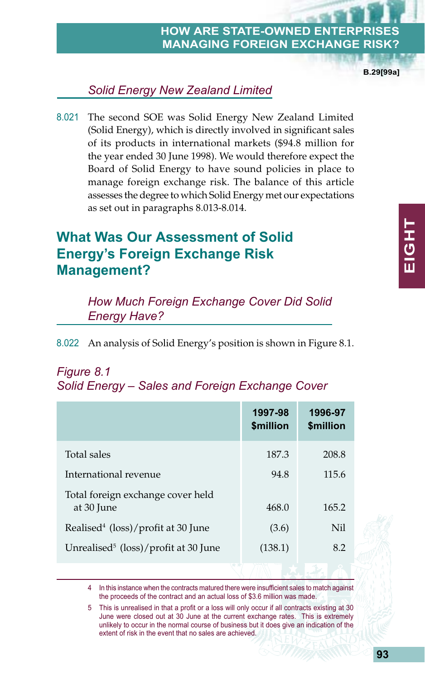**B.29[99a]**

# *Solid Energy New Zealand Limited*

8.021 The second SOE was Solid Energy New Zealand Limited (Solid Energy), which is directly involved in significant sales of its products in international markets (\$94.8 million for the year ended 30 June 1998). We would therefore expect the Board of Solid Energy to have sound policies in place to manage foreign exchange risk. The balance of this article assesses the degree to which Solid Energy met our expectations as set out in paragraphs 8.013-8.014.

# **What Was Our Assessment of Solid Energy's Foreign Exchange Risk Management?**

*How Much Foreign Exchange Cover Did Solid Energy Have?*

8.022 An analysis of Solid Energy's position is shown in Figure 8.1.

# *Figure 8.1 Solid Energy – Sales and Foreign Exchange Cover*

|                                                  | 1997-98<br>\$million | 1996-97<br>\$million |
|--------------------------------------------------|----------------------|----------------------|
| Total sales                                      | 187.3                | 208.8                |
| International revenue                            | 94.8                 | 115.6                |
| Total foreign exchange cover held<br>at 30 June  | 468.0                | 165.2                |
| Realised <sup>4</sup> (loss)/profit at 30 June   | (3.6)                | Nil                  |
| Unrealised <sup>5</sup> (loss)/profit at 30 June | (138.1)              | 8.2                  |
|                                                  |                      |                      |

In this instance when the contracts matured there were insufficient sales to match against the proceeds of the contract and an actual loss of \$3.6 million was made.

5 This is unrealised in that a profit or a loss will only occur if all contracts existing at 30 June were closed out at 30 June at the current exchange rates. This is extremely unlikely to occur in the normal course of business but it does give an indication of the extent of risk in the event that no sales are achieved.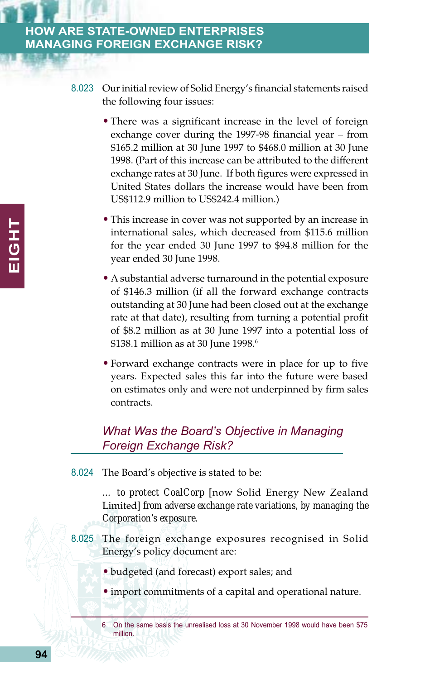- 8.023 Our initial review of Solid Energy's financial statements raised the following four issues:
	- There was a significant increase in the level of foreign exchange cover during the 1997-98 financial year – from \$165.2 million at 30 June 1997 to \$468.0 million at 30 June 1998. (Part of this increase can be attributed to the different exchange rates at 30 June. If both figures were expressed in United States dollars the increase would have been from US\$112.9 million to US\$242.4 million.)
	- This increase in cover was not supported by an increase in international sales, which decreased from \$115.6 million for the year ended 30 June 1997 to \$94.8 million for the year ended 30 June 1998.
	- A substantial adverse turnaround in the potential exposure of \$146.3 million (if all the forward exchange contracts outstanding at 30 June had been closed out at the exchange rate at that date), resulting from turning a potential profit of \$8.2 million as at 30 June 1997 into a potential loss of \$138.1 million as at 30 June 1998.<sup>6</sup>
	- Forward exchange contracts were in place for up to five years. Expected sales this far into the future were based on estimates only and were not underpinned by firm sales contracts.

### *What Was the Board's Objective in Managing Foreign Exchange Risk?*

8.024 The Board's objective is stated to be:

*… to protect CoalCorp* [now Solid Energy New Zealand Limited] *from adverse exchange rate variations, by managing the Corporation's exposure.*

- 8.025 The foreign exchange exposures recognised in Solid Energy's policy document are:
	- budgeted (and forecast) export sales; and
	- import commitments of a capital and operational nature.
	- 6 On the same basis the unrealised loss at 30 November 1998 would have been \$75 million.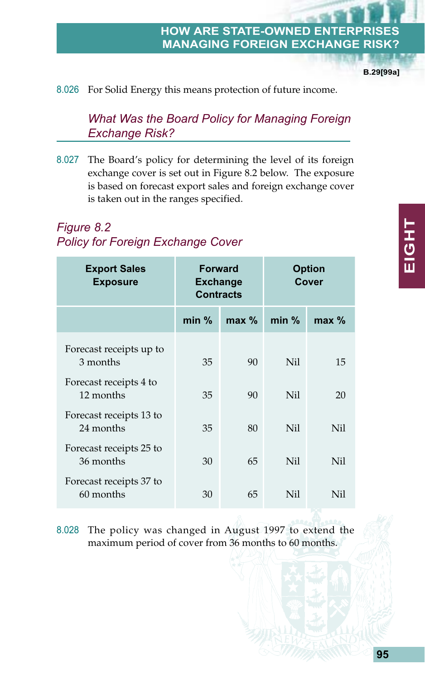**B.29[99a]**

#### 8.026 For Solid Energy this means protection of future income.

*What Was the Board Policy for Managing Foreign Exchange Risk?*

8.027 The Board's policy for determining the level of its foreign exchange cover is set out in Figure 8.2 below. The exposure is based on forecast export sales and foreign exchange cover is taken out in the ranges specified.

### *Figure 8.2 Policy for Foreign Exchange Cover*

| <b>Export Sales</b><br><b>Exposure</b> | <b>Forward</b><br><b>Exchange</b><br><b>Contracts</b> |         | <b>Option</b><br>Cover |                 |  |
|----------------------------------------|-------------------------------------------------------|---------|------------------------|-----------------|--|
|                                        | $min$ %                                               | $max$ % | $min$ %                | $max$ %         |  |
| Forecast receipts up to<br>3 months    | 35                                                    | 90      | Nil.                   | 15              |  |
| Forecast receipts 4 to<br>12 months    | 35                                                    | 90      | Nil.                   | 20              |  |
| Forecast receipts 13 to<br>24 months   | 35                                                    | 80      | Nil.                   | N <sub>il</sub> |  |
| Forecast receipts 25 to<br>36 months   | 30                                                    | 65      | Nil.                   | N <sub>il</sub> |  |
| Forecast receipts 37 to<br>60 months   | 30                                                    | 65      | Nil                    | Nil             |  |

8.028 The policy was changed in August 1997 to extend the maximum period of cover from 36 months to 60 months.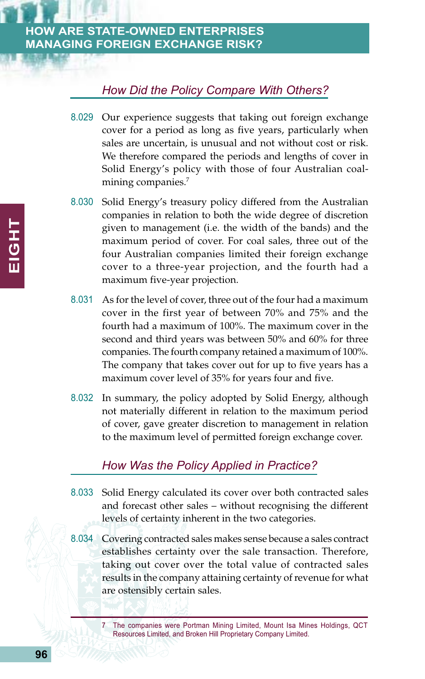# *How Did the Policy Compare With Others?*

- 8.029 Our experience suggests that taking out foreign exchange cover for a period as long as five years, particularly when sales are uncertain, is unusual and not without cost or risk. We therefore compared the periods and lengths of cover in Solid Energy's policy with those of four Australian coalmining companies.<sup>7</sup>
- 8.030 Solid Energy's treasury policy differed from the Australian companies in relation to both the wide degree of discretion given to management (i.e. the width of the bands) and the maximum period of cover. For coal sales, three out of the four Australian companies limited their foreign exchange cover to a three-year projection, and the fourth had a maximum five-year projection.
- 8.031 As for the level of cover, three out of the four had a maximum cover in the first year of between 70% and 75% and the fourth had a maximum of 100%. The maximum cover in the second and third years was between 50% and 60% for three companies. The fourth company retained a maximum of 100%. The company that takes cover out for up to five years has a maximum cover level of 35% for years four and five.
- 8.032 In summary, the policy adopted by Solid Energy, although not materially different in relation to the maximum period of cover, gave greater discretion to management in relation to the maximum level of permitted foreign exchange cover.

# *How Was the Policy Applied in Practice?*

- 8.033 Solid Energy calculated its cover over both contracted sales and forecast other sales – without recognising the different levels of certainty inherent in the two categories.
- 8.034 Covering contracted sales makes sense because a sales contract establishes certainty over the sale transaction. Therefore, taking out cover over the total value of contracted sales results in the company attaining certainty of revenue for what are ostensibly certain sales.

<sup>7</sup> The companies were Portman Mining Limited, Mount Isa Mines Holdings, QCT Resources Limited, and Broken Hill Proprietary Company Limited.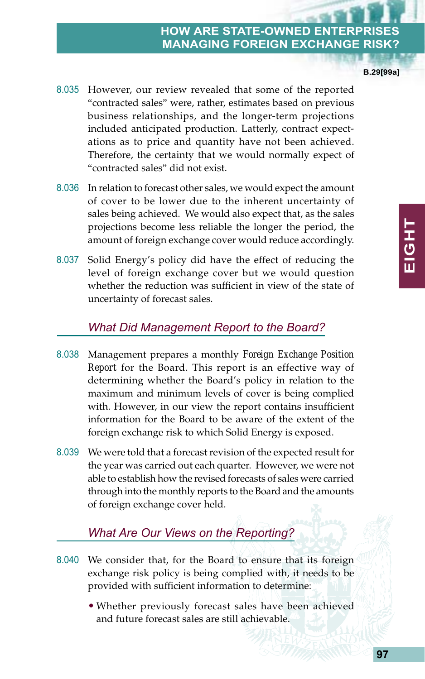8.035 However, our review revealed that some of the reported "contracted sales" were, rather, estimates based on previous business relationships, and the longer-term projections included anticipated production. Latterly, contract expectations as to price and quantity have not been achieved. Therefore, the certainty that we would normally expect of "contracted sales" did not exist.

- 8.036 In relation to forecast other sales, we would expect the amount of cover to be lower due to the inherent uncertainty of sales being achieved. We would also expect that, as the sales projections become less reliable the longer the period, the amount of foreign exchange cover would reduce accordingly.
- 8.037 Solid Energy's policy did have the effect of reducing the level of foreign exchange cover but we would question whether the reduction was sufficient in view of the state of uncertainty of forecast sales.

#### *What Did Management Report to the Board?*

- 8.038 Management prepares a monthly *Foreign Exchange Position Report* for the Board. This report is an effective way of determining whether the Board's policy in relation to the maximum and minimum levels of cover is being complied with. However, in our view the report contains insufficient information for the Board to be aware of the extent of the foreign exchange risk to which Solid Energy is exposed.
- 8.039 We were told that a forecast revision of the expected result for the year was carried out each quarter. However, we were not able to establish how the revised forecasts of sales were carried through into the monthly reports to the Board and the amounts of foreign exchange cover held.

# *What Are Our Views on the Reporting?*

- 8.040 We consider that, for the Board to ensure that its foreign exchange risk policy is being complied with, it needs to be provided with sufficient information to determine:
	- Whether previously forecast sales have been achieved and future forecast sales are still achievable.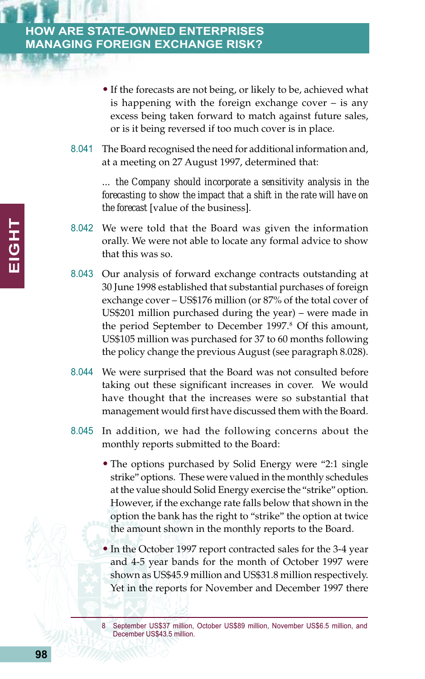- If the forecasts are not being, or likely to be, achieved what is happening with the foreign exchange cover – is any excess being taken forward to match against future sales, or is it being reversed if too much cover is in place.
- 8.041 The Board recognised the need for additional information and, at a meeting on 27 August 1997, determined that:

*… the Company should incorporate a sensitivity analysis in the forecasting to show the impact that a shift in the rate will have on the forecast* [value of the business].

- 8.042 We were told that the Board was given the information orally. We were not able to locate any formal advice to show that this was so.
- 8.043 Our analysis of forward exchange contracts outstanding at 30 June 1998 established that substantial purchases of foreign exchange cover – US\$176 million (or 87% of the total cover of US\$201 million purchased during the year) – were made in the period September to December 1997.<sup>8</sup> Of this amount, US\$105 million was purchased for 37 to 60 months following the policy change the previous August (see paragraph 8.028).
- 8.044 We were surprised that the Board was not consulted before taking out these significant increases in cover. We would have thought that the increases were so substantial that management would first have discussed them with the Board.
- 8.045 In addition, we had the following concerns about the monthly reports submitted to the Board:
	- The options purchased by Solid Energy were "2:1 single" strike" options. These were valued in the monthly schedules at the value should Solid Energy exercise the "strike" option. However, if the exchange rate falls below that shown in the option the bank has the right to "strike" the option at twice the amount shown in the monthly reports to the Board.
	- In the October 1997 report contracted sales for the 3-4 year and 4-5 year bands for the month of October 1997 were shown as US\$45.9 million and US\$31.8 million respectively. Yet in the reports for November and December 1997 there

<sup>8</sup> September US\$37 million, October US\$89 million, November US\$6.5 million, and December US\$43.5 million.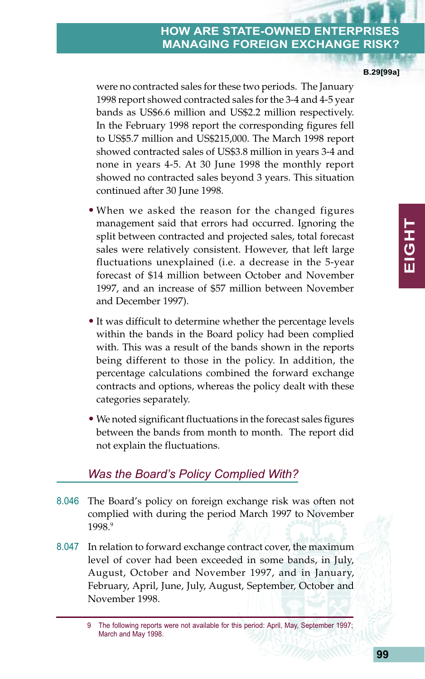were no contracted sales for these two periods. The January 1998 report showed contracted sales for the 3-4 and 4-5 year bands as US\$6.6 million and US\$2.2 million respectively. In the February 1998 report the corresponding figures fell to US\$5.7 million and US\$215,000. The March 1998 report showed contracted sales of US\$3.8 million in years 3-4 and none in years 4-5. At 30 June 1998 the monthly report showed no contracted sales beyond 3 years. This situation continued after 30 June 1998.

- When we asked the reason for the changed figures management said that errors had occurred. Ignoring the split between contracted and projected sales, total forecast sales were relatively consistent. However, that left large fluctuations unexplained (i.e. a decrease in the 5-year forecast of \$14 million between October and November 1997, and an increase of \$57 million between November and December 1997).
- It was difficult to determine whether the percentage levels within the bands in the Board policy had been complied with. This was a result of the bands shown in the reports being different to those in the policy. In addition, the percentage calculations combined the forward exchange contracts and options, whereas the policy dealt with these categories separately.
- We noted significant fluctuations in the forecast sales figures between the bands from month to month. The report did not explain the fluctuations.

# *Was the Board's Policy Complied With?*

- 8.046 The Board's policy on foreign exchange risk was often not complied with during the period March 1997 to November 1998.9
- 8.047 In relation to forward exchange contract cover, the maximum level of cover had been exceeded in some bands, in July, August, October and November 1997, and in January, February, April, June, July, August, September, October and November 1998.

**B.29[99a]**

<sup>9</sup> The following reports were not available for this period: April, May, September 1997; March and May 1998.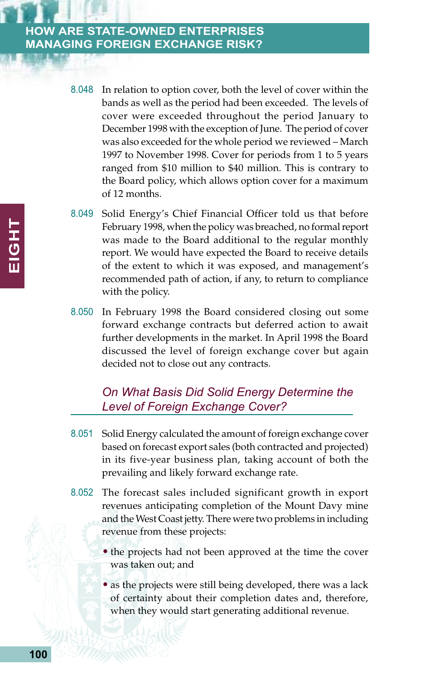- 8.048 In relation to option cover, both the level of cover within the bands as well as the period had been exceeded. The levels of cover were exceeded throughout the period January to December 1998 with the exception of June. The period of cover was also exceeded for the whole period we reviewed – March 1997 to November 1998. Cover for periods from 1 to 5 years ranged from \$10 million to \$40 million. This is contrary to the Board policy, which allows option cover for a maximum of 12 months.
- 8.049 Solid Energy's Chief Financial Officer told us that before February 1998, when the policy was breached, no formal report was made to the Board additional to the regular monthly report. We would have expected the Board to receive details of the extent to which it was exposed, and management's recommended path of action, if any, to return to compliance with the policy.
- 8.050 In February 1998 the Board considered closing out some forward exchange contracts but deferred action to await further developments in the market. In April 1998 the Board discussed the level of foreign exchange cover but again decided not to close out any contracts.

### *On What Basis Did Solid Energy Determine the Level of Foreign Exchange Cover?*

- 8.051 Solid Energy calculated the amount of foreign exchange cover based on forecast export sales (both contracted and projected) in its five-year business plan, taking account of both the prevailing and likely forward exchange rate.
- 8.052 The forecast sales included significant growth in export revenues anticipating completion of the Mount Davy mine and the West Coast jetty. There were two problems in including revenue from these projects:
	- the projects had not been approved at the time the cover was taken out; and
	- as the projects were still being developed, there was a lack of certainty about their completion dates and, therefore, when they would start generating additional revenue.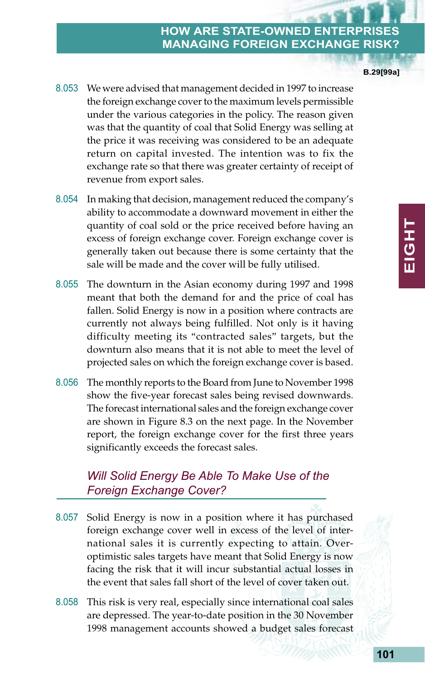8.053 We were advised that management decided in 1997 to increase the foreign exchange cover to the maximum levels permissible under the various categories in the policy. The reason given was that the quantity of coal that Solid Energy was selling at the price it was receiving was considered to be an adequate return on capital invested. The intention was to fix the exchange rate so that there was greater certainty of receipt of revenue from export sales.

- 8.054 In making that decision, management reduced the company's ability to accommodate a downward movement in either the quantity of coal sold or the price received before having an excess of foreign exchange cover. Foreign exchange cover is generally taken out because there is some certainty that the sale will be made and the cover will be fully utilised.
- 8.055 The downturn in the Asian economy during 1997 and 1998 meant that both the demand for and the price of coal has fallen. Solid Energy is now in a position where contracts are currently not always being fulfilled. Not only is it having difficulty meeting its "contracted sales" targets, but the downturn also means that it is not able to meet the level of projected sales on which the foreign exchange cover is based.
- 8.056 The monthly reports to the Board from June to November 1998 show the five-year forecast sales being revised downwards. The forecast international sales and the foreign exchange cover are shown in Figure 8.3 on the next page. In the November report, the foreign exchange cover for the first three years significantly exceeds the forecast sales.

# *Will Solid Energy Be Able To Make Use of the Foreign Exchange Cover?*

- 8.057 Solid Energy is now in a position where it has purchased foreign exchange cover well in excess of the level of international sales it is currently expecting to attain. Overoptimistic sales targets have meant that Solid Energy is now facing the risk that it will incur substantial actual losses in the event that sales fall short of the level of cover taken out.
- 8.058 This risk is very real, especially since international coal sales are depressed. The year-to-date position in the 30 November 1998 management accounts showed a budget sales forecast

**B.29[99a]**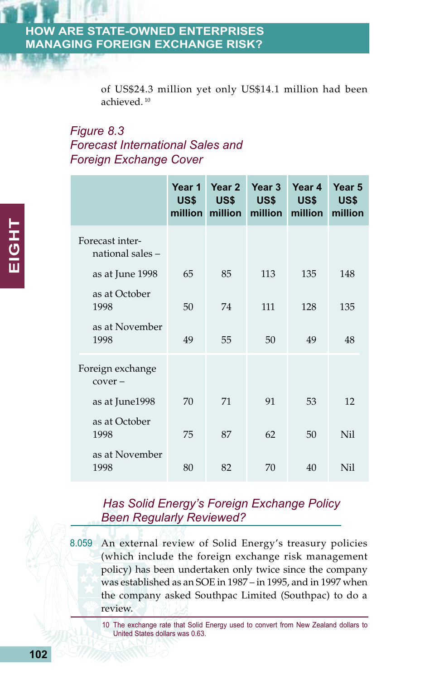of US\$24.3 million yet only US\$14.1 million had been achieved. 10

# *Figure 8.3 Forecast International Sales and Foreign Exchange Cover*

|                                     | Year 1<br>US\$ | Year 2<br>US\$<br>million million million | Year 3<br>US\$ | Year 4<br>US\$<br>million | Year 5<br><b>US\$</b><br>million |
|-------------------------------------|----------------|-------------------------------------------|----------------|---------------------------|----------------------------------|
| Forecast inter-<br>national sales - |                |                                           |                |                           |                                  |
| as at June 1998                     | 65             | 85                                        | 113            | 135                       | 148                              |
| as at October<br>1998               | 50             | 74                                        | 111            | 128                       | 135                              |
| as at November<br>1998              | 49             | 55                                        | 50             | 49                        | 48                               |
| Foreign exchange<br>$cover -$       |                |                                           |                |                           |                                  |
| as at June1998                      | 70             | 71                                        | 91             | 53                        | 12                               |
| as at October<br>1998               | 75             | 87                                        | 62             | 50                        | N <sub>il</sub>                  |
| as at November<br>1998              | 80             | 82                                        | 70             | 40                        | Nil                              |

# *Has Solid Energy's Foreign Exchange Policy Been Regularly Reviewed?*

8.059 An external review of Solid Energy's treasury policies (which include the foreign exchange risk management policy) has been undertaken only twice since the company was established as an SOE in 1987 – in 1995, and in 1997 when the company asked Southpac Limited (Southpac) to do a review.

> 10 The exchange rate that Solid Energy used to convert from New Zealand dollars to United States dollars was 0.63.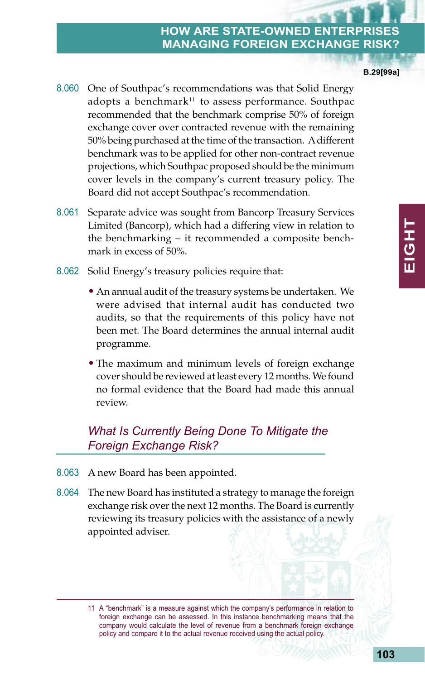8.060 One of Southpac's recommendations was that Solid Energy adopts a benchmark $11$  to assess performance. Southpac recommended that the benchmark comprise 50% of foreign exchange cover over contracted revenue with the remaining 50% being purchased at the time of the transaction. A different benchmark was to be applied for other non-contract revenue projections, which Southpac proposed should be the minimum cover levels in the company's current treasury policy. The Board did not accept Southpac's recommendation.

- 8.061 Separate advice was sought from Bancorp Treasury Services Limited (Bancorp), which had a differing view in relation to the benchmarking – it recommended a composite benchmark in excess of 50%.
- 8.062 Solid Energy's treasury policies require that:
	- An annual audit of the treasury systems be undertaken. We were advised that internal audit has conducted two audits, so that the requirements of this policy have not been met. The Board determines the annual internal audit programme.
	- The maximum and minimum levels of foreign exchange cover should be reviewed at least every 12 months. We found no formal evidence that the Board had made this annual review.

# *What Is Currently Being Done To Mitigate the Foreign Exchange Risk?*

- 8.063 A new Board has been appointed.
- 8.064 The new Board has instituted a strategy to manage the foreign exchange risk over the next 12 months. The Board is currently reviewing its treasury policies with the assistance of a newly appointed adviser.

**B.29[99a]**

<sup>11</sup> A "benchmark" is a measure against which the company's performance in relation to foreign exchange can be assessed. In this instance benchmarking means that the company would calculate the level of revenue from a benchmark foreign exchange policy and compare it to the actual revenue received using the actual policy.